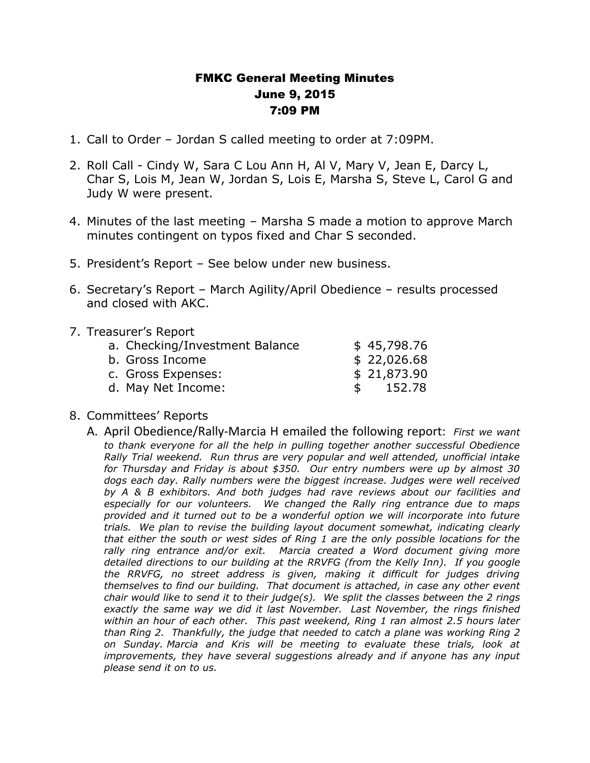## FMKC General Meeting Minutes June 9, 2015 7:09 PM

- 1. Call to Order Jordan S called meeting to order at 7:09PM.
- 2. Roll Call Cindy W, Sara C Lou Ann H, Al V, Mary V, Jean E, Darcy L, Char S, Lois M, Jean W, Jordan S, Lois E, Marsha S, Steve L, Carol G and Judy W were present.
- 4. Minutes of the last meeting Marsha S made a motion to approve March minutes contingent on typos fixed and Char S seconded.
- 5. President's Report See below under new business.
- 6. Secretary's Report March Agility/April Obedience results processed and closed with AKC.

## 7. Treasurer's Report

| a. Checking/Investment Balance |    | \$45,798.76 |
|--------------------------------|----|-------------|
| b. Gross Income                |    | \$22,026.68 |
| c. Gross Expenses:             |    | \$21,873.90 |
| d. May Net Income:             | S. | 152.78      |

## 8. Committees' Reports

A. April Obedience/Rally-Marcia H emailed the following report: *First we want to thank everyone for all the help in pulling together another successful Obedience Rally Trial weekend. Run thrus are very popular and well attended, unofficial intake for Thursday and Friday is about \$350. Our entry numbers were up by almost 30 dogs each day. Rally numbers were the biggest increase. Judges were well received by A & B exhibitors. And both judges had rave reviews about our facilities and especially for our volunteers. We changed the Rally ring entrance due to maps provided and it turned out to be a wonderful option we will incorporate into future trials. We plan to revise the building layout document somewhat, indicating clearly that either the south or west sides of Ring 1 are the only possible locations for the rally ring entrance and/or exit. Marcia created a Word document giving more detailed directions to our building at the RRVFG (from the Kelly Inn). If you google the RRVFG, no street address is given, making it difficult for judges driving themselves to find our building. That document is attached, in case any other event chair would like to send it to their judge(s). We split the classes between the 2 rings exactly the same way we did it last November. Last November, the rings finished within an hour of each other. This past weekend, Ring 1 ran almost 2.5 hours later than Ring 2. Thankfully, the judge that needed to catch a plane was working Ring 2 on Sunday. Marcia and Kris will be meeting to evaluate these trials, look at improvements, they have several suggestions already and if anyone has any input please send it on to us.*